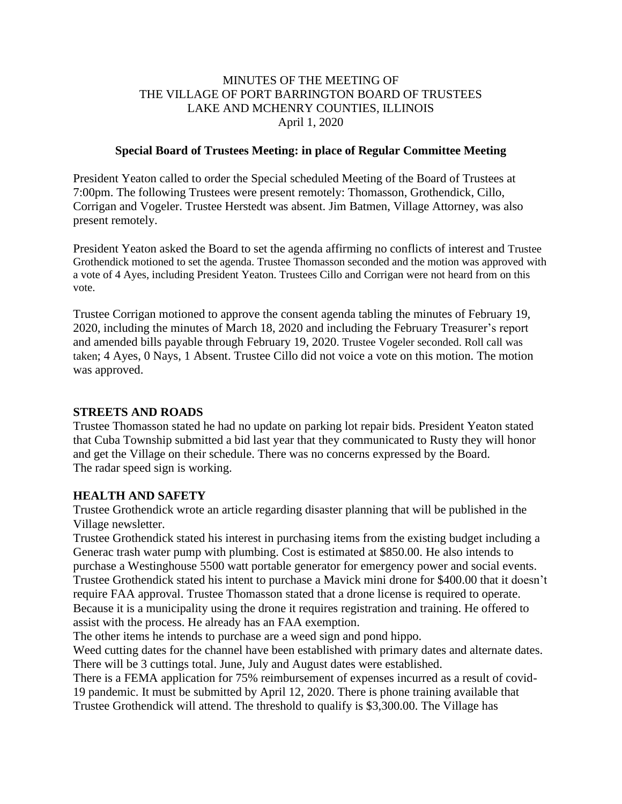#### MINUTES OF THE MEETING OF THE VILLAGE OF PORT BARRINGTON BOARD OF TRUSTEES LAKE AND MCHENRY COUNTIES, ILLINOIS April 1, 2020

#### **Special Board of Trustees Meeting: in place of Regular Committee Meeting**

President Yeaton called to order the Special scheduled Meeting of the Board of Trustees at 7:00pm. The following Trustees were present remotely: Thomasson, Grothendick, Cillo, Corrigan and Vogeler. Trustee Herstedt was absent. Jim Batmen, Village Attorney, was also present remotely.

President Yeaton asked the Board to set the agenda affirming no conflicts of interest and Trustee Grothendick motioned to set the agenda. Trustee Thomasson seconded and the motion was approved with a vote of 4 Ayes, including President Yeaton. Trustees Cillo and Corrigan were not heard from on this vote.

Trustee Corrigan motioned to approve the consent agenda tabling the minutes of February 19, 2020, including the minutes of March 18, 2020 and including the February Treasurer's report and amended bills payable through February 19, 2020. Trustee Vogeler seconded. Roll call was taken; 4 Ayes, 0 Nays, 1 Absent. Trustee Cillo did not voice a vote on this motion. The motion was approved.

#### **STREETS AND ROADS**

Trustee Thomasson stated he had no update on parking lot repair bids. President Yeaton stated that Cuba Township submitted a bid last year that they communicated to Rusty they will honor and get the Village on their schedule. There was no concerns expressed by the Board. The radar speed sign is working.

#### **HEALTH AND SAFETY**

Trustee Grothendick wrote an article regarding disaster planning that will be published in the Village newsletter.

Trustee Grothendick stated his interest in purchasing items from the existing budget including a Generac trash water pump with plumbing. Cost is estimated at \$850.00. He also intends to purchase a Westinghouse 5500 watt portable generator for emergency power and social events. Trustee Grothendick stated his intent to purchase a Mavick mini drone for \$400.00 that it doesn't require FAA approval. Trustee Thomasson stated that a drone license is required to operate. Because it is a municipality using the drone it requires registration and training. He offered to assist with the process. He already has an FAA exemption.

The other items he intends to purchase are a weed sign and pond hippo.

Weed cutting dates for the channel have been established with primary dates and alternate dates. There will be 3 cuttings total. June, July and August dates were established.

There is a FEMA application for 75% reimbursement of expenses incurred as a result of covid-19 pandemic. It must be submitted by April 12, 2020. There is phone training available that Trustee Grothendick will attend. The threshold to qualify is \$3,300.00. The Village has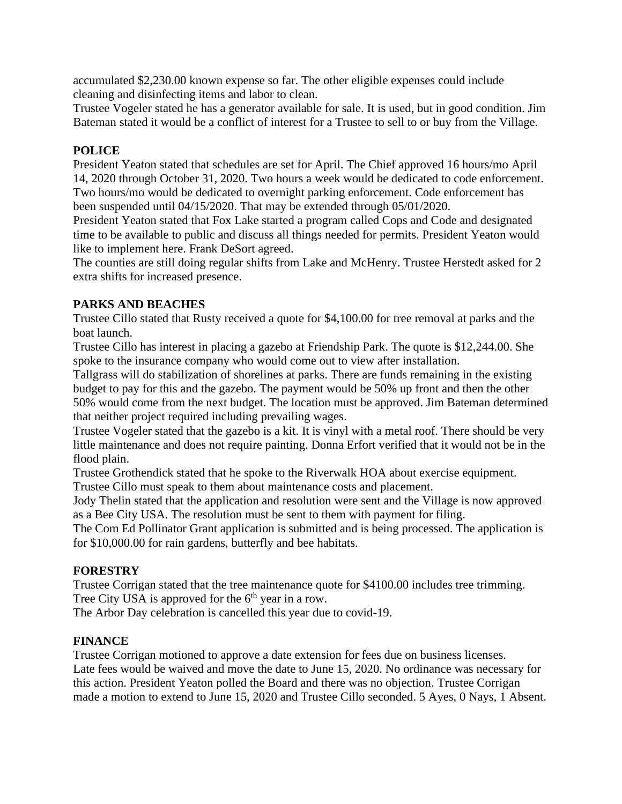accumulated \$2,230.00 known expense so far. The other eligible expenses could include cleaning and disinfecting items and labor to clean.

Trustee Vogeler stated he has a generator available for sale. It is used, but in good condition. Jim Bateman stated it would be a conflict of interest for a Trustee to sell to or buy from the Village.

# **POLICE**

President Yeaton stated that schedules are set for April. The Chief approved 16 hours/mo April 14, 2020 through October 31, 2020. Two hours a week would be dedicated to code enforcement. Two hours/mo would be dedicated to overnight parking enforcement. Code enforcement has been suspended until 04/15/2020. That may be extended through 05/01/2020.

President Yeaton stated that Fox Lake started a program called Cops and Code and designated time to be available to public and discuss all things needed for permits. President Yeaton would like to implement here. Frank DeSort agreed.

The counties are still doing regular shifts from Lake and McHenry. Trustee Herstedt asked for 2 extra shifts for increased presence.

## **PARKS AND BEACHES**

Trustee Cillo stated that Rusty received a quote for \$4,100.00 for tree removal at parks and the boat launch.

Trustee Cillo has interest in placing a gazebo at Friendship Park. The quote is \$12,244.00. She spoke to the insurance company who would come out to view after installation.

Tallgrass will do stabilization of shorelines at parks. There are funds remaining in the existing budget to pay for this and the gazebo. The payment would be 50% up front and then the other 50% would come from the next budget. The location must be approved. Jim Bateman determined that neither project required including prevailing wages.

Trustee Vogeler stated that the gazebo is a kit. It is vinyl with a metal roof. There should be very little maintenance and does not require painting. Donna Erfort verified that it would not be in the flood plain.

Trustee Grothendick stated that he spoke to the Riverwalk HOA about exercise equipment.

Trustee Cillo must speak to them about maintenance costs and placement.

Jody Thelin stated that the application and resolution were sent and the Village is now approved as a Bee City USA. The resolution must be sent to them with payment for filing.

The Com Ed Pollinator Grant application is submitted and is being processed. The application is for \$10,000.00 for rain gardens, butterfly and bee habitats.

## **FORESTRY**

Trustee Corrigan stated that the tree maintenance quote for \$4100.00 includes tree trimming. Tree City USA is approved for the  $6<sup>th</sup>$  year in a row.

The Arbor Day celebration is cancelled this year due to covid-19.

## **FINANCE**

Trustee Corrigan motioned to approve a date extension for fees due on business licenses. Late fees would be waived and move the date to June 15, 2020. No ordinance was necessary for this action. President Yeaton polled the Board and there was no objection. Trustee Corrigan made a motion to extend to June 15, 2020 and Trustee Cillo seconded. 5 Ayes, 0 Nays, 1 Absent.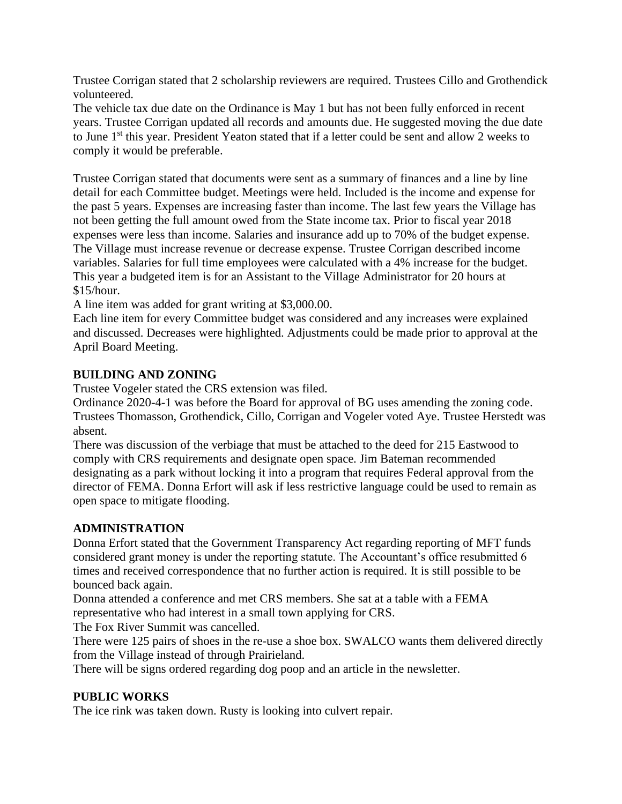Trustee Corrigan stated that 2 scholarship reviewers are required. Trustees Cillo and Grothendick volunteered.

The vehicle tax due date on the Ordinance is May 1 but has not been fully enforced in recent years. Trustee Corrigan updated all records and amounts due. He suggested moving the due date to June 1<sup>st</sup> this year. President Yeaton stated that if a letter could be sent and allow 2 weeks to comply it would be preferable.

Trustee Corrigan stated that documents were sent as a summary of finances and a line by line detail for each Committee budget. Meetings were held. Included is the income and expense for the past 5 years. Expenses are increasing faster than income. The last few years the Village has not been getting the full amount owed from the State income tax. Prior to fiscal year 2018 expenses were less than income. Salaries and insurance add up to 70% of the budget expense. The Village must increase revenue or decrease expense. Trustee Corrigan described income variables. Salaries for full time employees were calculated with a 4% increase for the budget. This year a budgeted item is for an Assistant to the Village Administrator for 20 hours at \$15/hour.

A line item was added for grant writing at \$3,000.00.

Each line item for every Committee budget was considered and any increases were explained and discussed. Decreases were highlighted. Adjustments could be made prior to approval at the April Board Meeting.

## **BUILDING AND ZONING**

Trustee Vogeler stated the CRS extension was filed.

Ordinance 2020-4-1 was before the Board for approval of BG uses amending the zoning code. Trustees Thomasson, Grothendick, Cillo, Corrigan and Vogeler voted Aye. Trustee Herstedt was absent.

There was discussion of the verbiage that must be attached to the deed for 215 Eastwood to comply with CRS requirements and designate open space. Jim Bateman recommended designating as a park without locking it into a program that requires Federal approval from the director of FEMA. Donna Erfort will ask if less restrictive language could be used to remain as open space to mitigate flooding.

## **ADMINISTRATION**

Donna Erfort stated that the Government Transparency Act regarding reporting of MFT funds considered grant money is under the reporting statute. The Accountant's office resubmitted 6 times and received correspondence that no further action is required. It is still possible to be bounced back again.

Donna attended a conference and met CRS members. She sat at a table with a FEMA representative who had interest in a small town applying for CRS.

The Fox River Summit was cancelled.

There were 125 pairs of shoes in the re-use a shoe box. SWALCO wants them delivered directly from the Village instead of through Prairieland.

There will be signs ordered regarding dog poop and an article in the newsletter.

## **PUBLIC WORKS**

The ice rink was taken down. Rusty is looking into culvert repair.